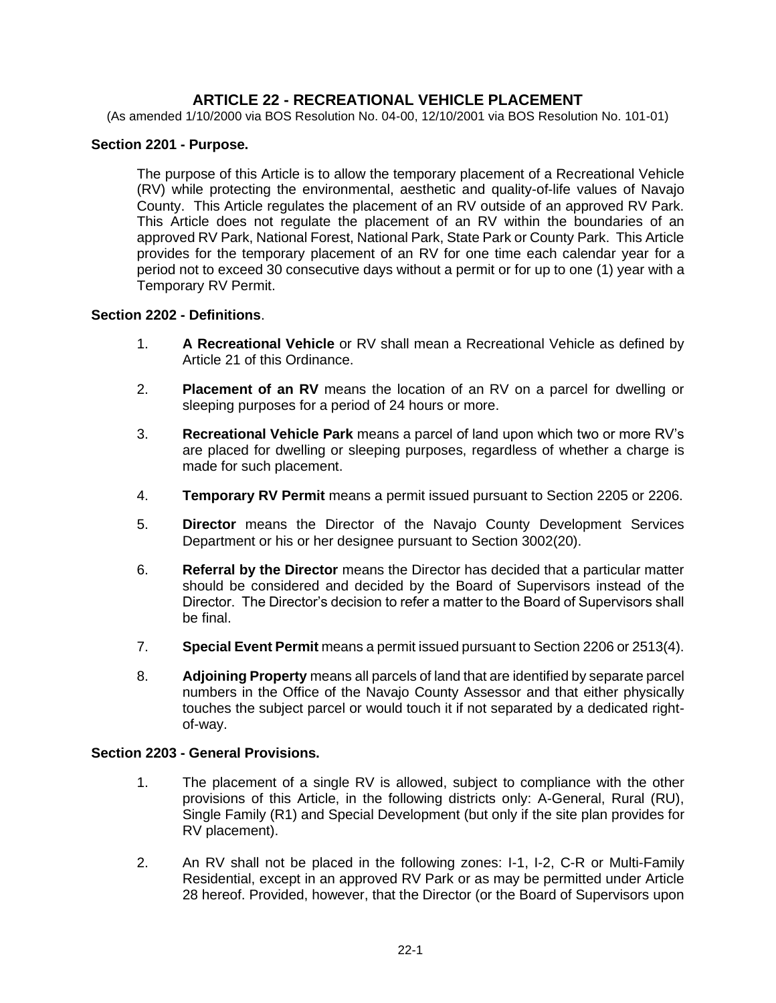# **ARTICLE 22 - RECREATIONAL VEHICLE PLACEMENT**

(As amended 1/10/2000 via BOS Resolution No. 04-00, 12/10/2001 via BOS Resolution No. 101-01)

### **Section 2201 - Purpose.**

The purpose of this Article is to allow the temporary placement of a Recreational Vehicle (RV) while protecting the environmental, aesthetic and quality-of-life values of Navajo County. This Article regulates the placement of an RV outside of an approved RV Park. This Article does not regulate the placement of an RV within the boundaries of an approved RV Park, National Forest, National Park, State Park or County Park. This Article provides for the temporary placement of an RV for one time each calendar year for a period not to exceed 30 consecutive days without a permit or for up to one (1) year with a Temporary RV Permit.

### **Section 2202 - Definitions**.

- 1. **A Recreational Vehicle** or RV shall mean a Recreational Vehicle as defined by Article 21 of this Ordinance.
- 2. **Placement of an RV** means the location of an RV on a parcel for dwelling or sleeping purposes for a period of 24 hours or more.
- 3. **Recreational Vehicle Park** means a parcel of land upon which two or more RV's are placed for dwelling or sleeping purposes, regardless of whether a charge is made for such placement.
- 4. **Temporary RV Permit** means a permit issued pursuant to Section 2205 or 2206.
- 5. **Director** means the Director of the Navajo County Development Services Department or his or her designee pursuant to Section 3002(20).
- 6. **Referral by the Director** means the Director has decided that a particular matter should be considered and decided by the Board of Supervisors instead of the Director. The Director's decision to refer a matter to the Board of Supervisors shall be final.
- 7. **Special Event Permit** means a permit issued pursuant to Section 2206 or 2513(4).
- 8. **Adjoining Property** means all parcels of land that are identified by separate parcel numbers in the Office of the Navajo County Assessor and that either physically touches the subject parcel or would touch it if not separated by a dedicated rightof-way.

#### **Section 2203 - General Provisions.**

- 1. The placement of a single RV is allowed, subject to compliance with the other provisions of this Article, in the following districts only: A-General, Rural (RU), Single Family (R1) and Special Development (but only if the site plan provides for RV placement).
- 2. An RV shall not be placed in the following zones: I-1, I-2, C-R or Multi-Family Residential, except in an approved RV Park or as may be permitted under Article 28 hereof. Provided, however, that the Director (or the Board of Supervisors upon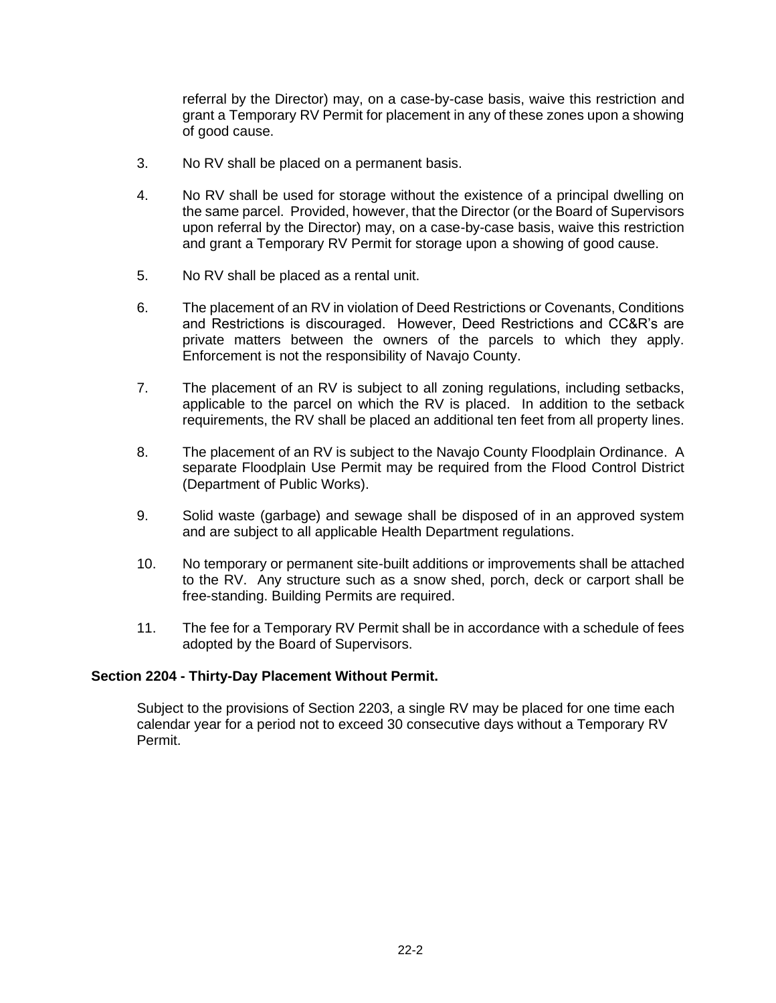referral by the Director) may, on a case-by-case basis, waive this restriction and grant a Temporary RV Permit for placement in any of these zones upon a showing of good cause.

- 3. No RV shall be placed on a permanent basis.
- 4. No RV shall be used for storage without the existence of a principal dwelling on the same parcel. Provided, however, that the Director (or the Board of Supervisors upon referral by the Director) may, on a case-by-case basis, waive this restriction and grant a Temporary RV Permit for storage upon a showing of good cause.
- 5. No RV shall be placed as a rental unit.
- 6. The placement of an RV in violation of Deed Restrictions or Covenants, Conditions and Restrictions is discouraged. However, Deed Restrictions and CC&R's are private matters between the owners of the parcels to which they apply. Enforcement is not the responsibility of Navajo County.
- 7. The placement of an RV is subject to all zoning regulations, including setbacks, applicable to the parcel on which the RV is placed. In addition to the setback requirements, the RV shall be placed an additional ten feet from all property lines.
- 8. The placement of an RV is subject to the Navajo County Floodplain Ordinance. A separate Floodplain Use Permit may be required from the Flood Control District (Department of Public Works).
- 9. Solid waste (garbage) and sewage shall be disposed of in an approved system and are subject to all applicable Health Department regulations.
- 10. No temporary or permanent site-built additions or improvements shall be attached to the RV. Any structure such as a snow shed, porch, deck or carport shall be free-standing. Building Permits are required.
- 11. The fee for a Temporary RV Permit shall be in accordance with a schedule of fees adopted by the Board of Supervisors.

### **Section 2204 - Thirty-Day Placement Without Permit.**

Subject to the provisions of Section 2203, a single RV may be placed for one time each calendar year for a period not to exceed 30 consecutive days without a Temporary RV Permit.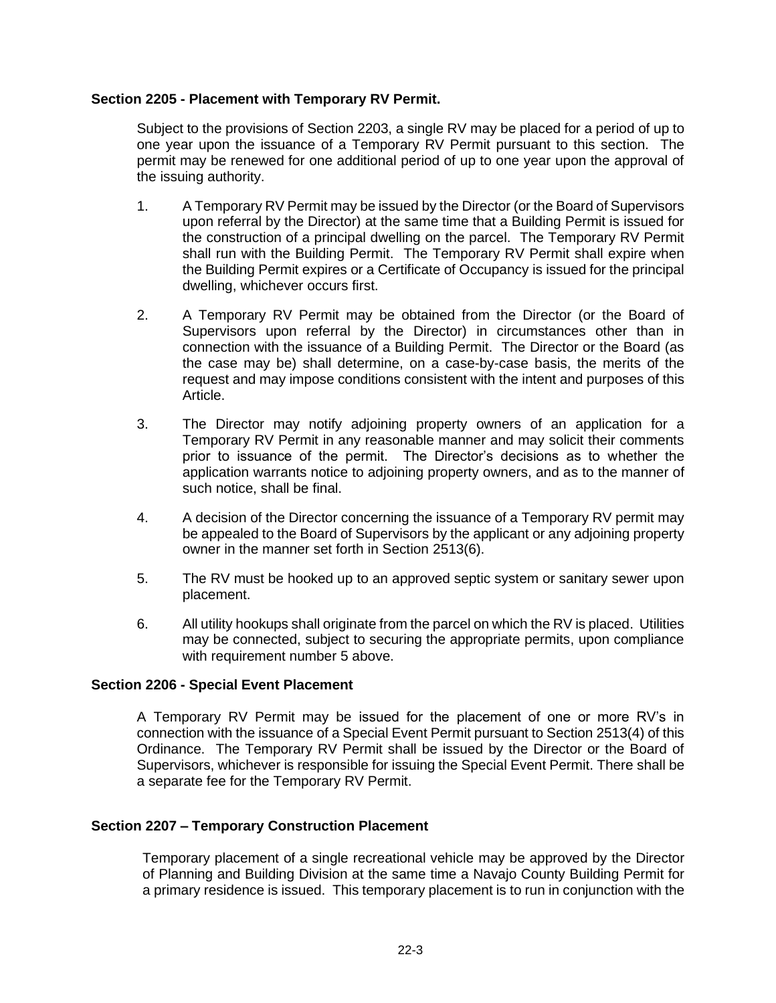## **Section 2205 - Placement with Temporary RV Permit.**

Subject to the provisions of Section 2203, a single RV may be placed for a period of up to one year upon the issuance of a Temporary RV Permit pursuant to this section. The permit may be renewed for one additional period of up to one year upon the approval of the issuing authority.

- 1. A Temporary RV Permit may be issued by the Director (or the Board of Supervisors upon referral by the Director) at the same time that a Building Permit is issued for the construction of a principal dwelling on the parcel. The Temporary RV Permit shall run with the Building Permit. The Temporary RV Permit shall expire when the Building Permit expires or a Certificate of Occupancy is issued for the principal dwelling, whichever occurs first.
- 2. A Temporary RV Permit may be obtained from the Director (or the Board of Supervisors upon referral by the Director) in circumstances other than in connection with the issuance of a Building Permit. The Director or the Board (as the case may be) shall determine, on a case-by-case basis, the merits of the request and may impose conditions consistent with the intent and purposes of this Article.
- 3. The Director may notify adjoining property owners of an application for a Temporary RV Permit in any reasonable manner and may solicit their comments prior to issuance of the permit. The Director's decisions as to whether the application warrants notice to adjoining property owners, and as to the manner of such notice, shall be final.
- 4. A decision of the Director concerning the issuance of a Temporary RV permit may be appealed to the Board of Supervisors by the applicant or any adjoining property owner in the manner set forth in Section 2513(6).
- 5. The RV must be hooked up to an approved septic system or sanitary sewer upon placement.
- 6. All utility hookups shall originate from the parcel on which the RV is placed. Utilities may be connected, subject to securing the appropriate permits, upon compliance with requirement number 5 above.

### **Section 2206 - Special Event Placement**

A Temporary RV Permit may be issued for the placement of one or more RV's in connection with the issuance of a Special Event Permit pursuant to Section 2513(4) of this Ordinance. The Temporary RV Permit shall be issued by the Director or the Board of Supervisors, whichever is responsible for issuing the Special Event Permit. There shall be a separate fee for the Temporary RV Permit.

### **Section 2207 – Temporary Construction Placement**

Temporary placement of a single recreational vehicle may be approved by the Director of Planning and Building Division at the same time a Navajo County Building Permit for a primary residence is issued. This temporary placement is to run in conjunction with the